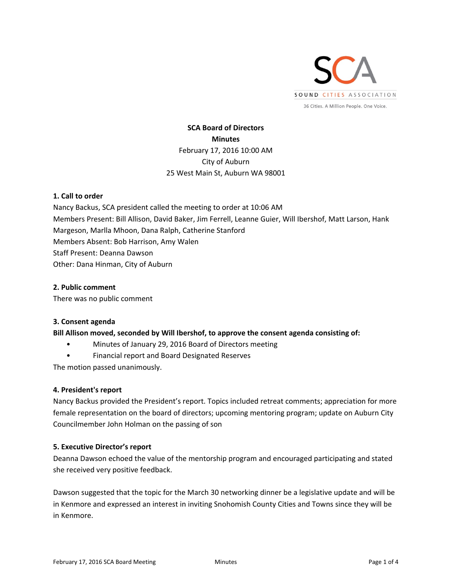

# **SCA Board of Directors Minutes**  February 17, 2016 10:00 AM City of Auburn 25 West Main St, Auburn WA 98001

## **1. Call to order**

Nancy Backus, SCA president called the meeting to order at 10:06 AM Members Present: Bill Allison, David Baker, Jim Ferrell, Leanne Guier, Will Ibershof, Matt Larson, Hank Margeson, Marlla Mhoon, Dana Ralph, Catherine Stanford Members Absent: Bob Harrison, Amy Walen Staff Present: Deanna Dawson Other: Dana Hinman, City of Auburn

## **2. Public comment**

There was no public comment

## **3. Consent agenda**

#### **Bill Allison moved, seconded by Will Ibershof, to approve the consent agenda consisting of:**

- Minutes of January 29, 2016 Board of Directors meeting
- Financial report and Board Designated Reserves

The motion passed unanimously.

#### **4. President's report**

Nancy Backus provided the President's report. Topics included retreat comments; appreciation for more female representation on the board of directors; upcoming mentoring program; update on Auburn City Councilmember John Holman on the passing of son

## **5. Executive Director's report**

Deanna Dawson echoed the value of the mentorship program and encouraged participating and stated she received very positive feedback.

Dawson suggested that the topic for the March 30 networking dinner be a legislative update and will be in Kenmore and expressed an interest in inviting Snohomish County Cities and Towns since they will be in Kenmore.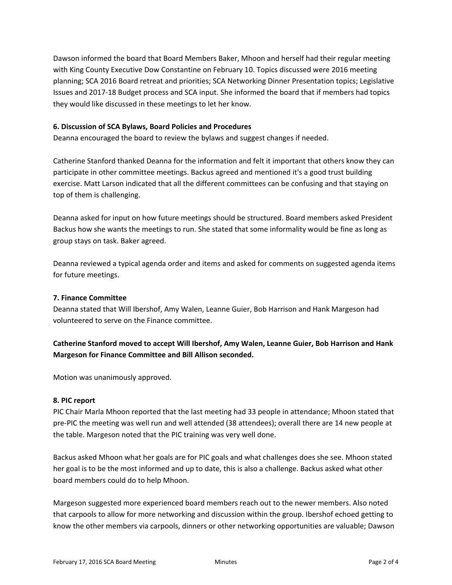Dawson informed the board that Board Members Baker, Mhoon and herself had their regular meeting with King County Executive Dow Constantine on February 10. Topics discussed were 2016 meeting planning; SCA 2016 Board retreat and priorities; SCA Networking Dinner Presentation topics; Legislative Issues and 2017‐18 Budget process and SCA input. She informed the board that if members had topics they would like discussed in these meetings to let her know.

## **6. Discussion of SCA Bylaws, Board Policies and Procedures**

Deanna encouraged the board to review the bylaws and suggest changes if needed.

Catherine Stanford thanked Deanna for the information and felt it important that others know they can participate in other committee meetings. Backus agreed and mentioned it's a good trust building exercise. Matt Larson indicated that all the different committees can be confusing and that staying on top of them is challenging.

Deanna asked for input on how future meetings should be structured. Board members asked President Backus how she wants the meetings to run. She stated that some informality would be fine as long as group stays on task. Baker agreed.

Deanna reviewed a typical agenda order and items and asked for comments on suggested agenda items for future meetings.

## **7. Finance Committee**

Deanna stated that Will Ibershof, Amy Walen, Leanne Guier, Bob Harrison and Hank Margeson had volunteered to serve on the Finance committee.

**Catherine Stanford moved to accept Will Ibershof, Amy Walen, Leanne Guier, Bob Harrison and Hank Margeson for Finance Committee and Bill Allison seconded.** 

Motion was unanimously approved.

#### **8. PIC report**

PIC Chair Marla Mhoon reported that the last meeting had 33 people in attendance; Mhoon stated that pre‐PIC the meeting was well run and well attended (38 attendees); overall there are 14 new people at the table. Margeson noted that the PIC training was very well done.

Backus asked Mhoon what her goals are for PIC goals and what challenges does she see. Mhoon stated her goal is to be the most informed and up to date, this is also a challenge. Backus asked what other board members could do to help Mhoon.

Margeson suggested more experienced board members reach out to the newer members. Also noted that carpools to allow for more networking and discussion within the group. Ibershof echoed getting to know the other members via carpools, dinners or other networking opportunities are valuable; Dawson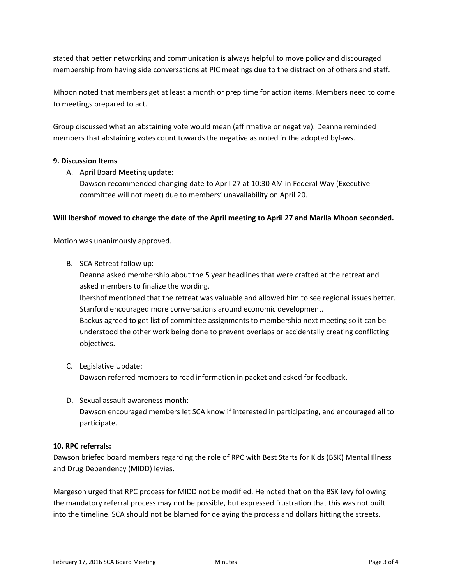stated that better networking and communication is always helpful to move policy and discouraged membership from having side conversations at PIC meetings due to the distraction of others and staff.

Mhoon noted that members get at least a month or prep time for action items. Members need to come to meetings prepared to act.

Group discussed what an abstaining vote would mean (affirmative or negative). Deanna reminded members that abstaining votes count towards the negative as noted in the adopted bylaws.

## **9. Discussion Items**

A. April Board Meeting update:

Dawson recommended changing date to April 27 at 10:30 AM in Federal Way (Executive committee will not meet) due to members' unavailability on April 20.

## **Will Ibershof moved to change the date of the April meeting to April 27 and Marlla Mhoon seconded.**

Motion was unanimously approved.

B. SCA Retreat follow up:

Deanna asked membership about the 5 year headlines that were crafted at the retreat and asked members to finalize the wording.

Ibershof mentioned that the retreat was valuable and allowed him to see regional issues better. Stanford encouraged more conversations around economic development. Backus agreed to get list of committee assignments to membership next meeting so it can be understood the other work being done to prevent overlaps or accidentally creating conflicting

- objectives.
- C. Legislative Update: Dawson referred members to read information in packet and asked for feedback.
- D. Sexual assault awareness month: Dawson encouraged members let SCA know if interested in participating, and encouraged all to participate.

## **10. RPC referrals:**

Dawson briefed board members regarding the role of RPC with Best Starts for Kids (BSK) Mental Illness and Drug Dependency (MIDD) levies.

Margeson urged that RPC process for MIDD not be modified. He noted that on the BSK levy following the mandatory referral process may not be possible, but expressed frustration that this was not built into the timeline. SCA should not be blamed for delaying the process and dollars hitting the streets.